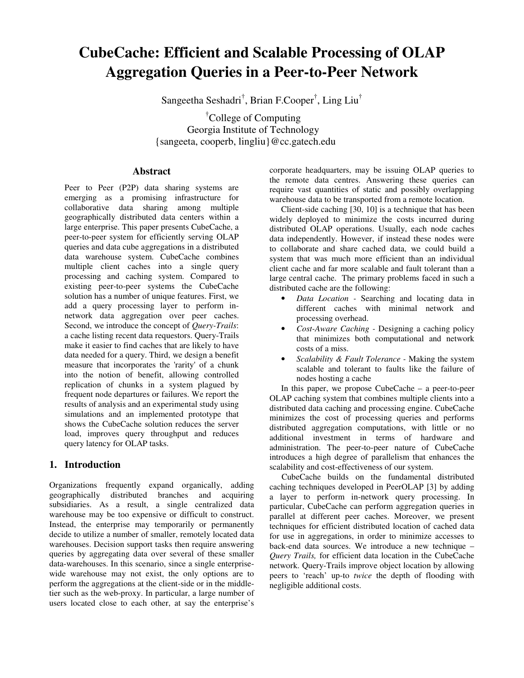# **CubeCache: Efficient and Scalable Processing of OLAP Aggregation Queries in a Peer-to-Peer Network**

Sangeetha Seshadri<sup>†</sup>, Brian F.Cooper<sup>†</sup>, Ling Liu<sup>†</sup>

†College of Computing Georgia Institute of Technology {sangeeta, cooperb, lingliu}@cc.gatech.edu

# **Abstract**

Peer to Peer (P2P) data sharing systems are emerging as a promising infrastructure for collaborative data sharing among multiple geographically distributed data centers within a large enterprise. This paper presents CubeCache, a peer-to-peer system for efficiently serving OLAP queries and data cube aggregations in a distributed data warehouse system. CubeCache combines multiple client caches into a single query processing and caching system. Compared to existing peer-to-peer systems the CubeCache solution has a number of unique features. First, we add a query processing layer to perform innetwork data aggregation over peer caches. Second, we introduce the concept of *Query-Trails*: a cache listing recent data requestors. Query-Trails make it easier to find caches that are likely to have data needed for a query. Third, we design a benefit measure that incorporates the 'rarity' of a chunk into the notion of benefit, allowing controlled replication of chunks in a system plagued by frequent node departures or failures. We report the results of analysis and an experimental study using simulations and an implemented prototype that shows the CubeCache solution reduces the server load, improves query throughput and reduces query latency for OLAP tasks.

# **1. Introduction**

Organizations frequently expand organically, adding geographically distributed branches and acquiring subsidiaries. As a result, a single centralized data warehouse may be too expensive or difficult to construct. Instead, the enterprise may temporarily or permanently decide to utilize a number of smaller, remotely located data warehouses. Decision support tasks then require answering queries by aggregating data over several of these smaller data-warehouses. In this scenario, since a single enterprisewide warehouse may not exist, the only options are to perform the aggregations at the client-side or in the middletier such as the web-proxy. In particular, a large number of users located close to each other, at say the enterprise's

corporate headquarters, may be issuing OLAP queries to the remote data centres. Answering these queries can require vast quantities of static and possibly overlapping warehouse data to be transported from a remote location.

Client-side caching [30, 10] is a technique that has been widely deployed to minimize the costs incurred during distributed OLAP operations. Usually, each node caches data independently. However, if instead these nodes were to collaborate and share cached data, we could build a system that was much more efficient than an individual client cache and far more scalable and fault tolerant than a large central cache. The primary problems faced in such a distributed cache are the following:

- *Data Location -* Searching and locating data in different caches with minimal network and processing overhead.
- *Cost-Aware Caching -* Designing a caching policy that minimizes both computational and network costs of a miss.
- *Scalability & Fault Tolerance -* Making the system scalable and tolerant to faults like the failure of nodes hosting a cache

In this paper, we propose CubeCache – a peer-to-peer OLAP caching system that combines multiple clients into a distributed data caching and processing engine. CubeCache minimizes the cost of processing queries and performs distributed aggregation computations, with little or no additional investment in terms of hardware and administration. The peer-to-peer nature of CubeCache introduces a high degree of parallelism that enhances the scalability and cost-effectiveness of our system.

CubeCache builds on the fundamental distributed caching techniques developed in PeerOLAP [3] by adding a layer to perform in-network query processing. In particular, CubeCache can perform aggregation queries in parallel at different peer caches. Moreover, we present techniques for efficient distributed location of cached data for use in aggregations, in order to minimize accesses to back-end data sources. We introduce a new technique – *Query Trails,* for efficient data location in the CubeCache network. Query-Trails improve object location by allowing peers to 'reach' up-to *twice* the depth of flooding with negligible additional costs.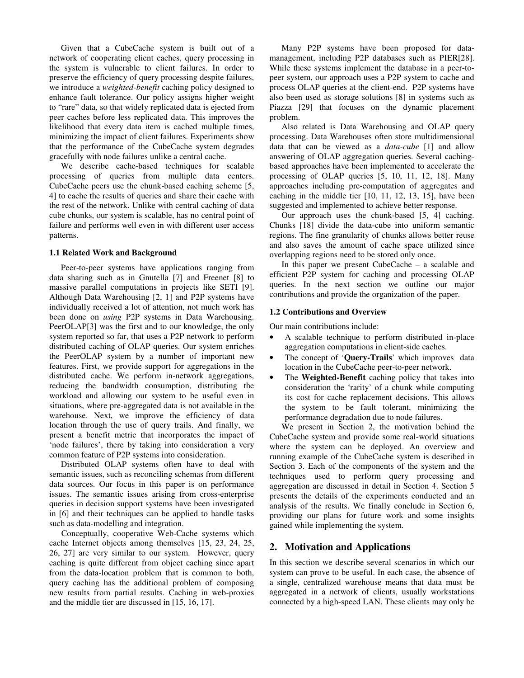Given that a CubeCache system is built out of a network of cooperating client caches, query processing in the system is vulnerable to client failures. In order to preserve the efficiency of query processing despite failures, we introduce a *weighted-benefit* caching policy designed to enhance fault tolerance. Our policy assigns higher weight to "rare" data, so that widely replicated data is ejected from peer caches before less replicated data. This improves the likelihood that every data item is cached multiple times, minimizing the impact of client failures. Experiments show that the performance of the CubeCache system degrades gracefully with node failures unlike a central cache.

We describe cache-based techniques for scalable processing of queries from multiple data centers. CubeCache peers use the chunk-based caching scheme [5, 4] to cache the results of queries and share their cache with the rest of the network. Unlike with central caching of data cube chunks, our system is scalable, has no central point of failure and performs well even in with different user access patterns.

#### **1.1 Related Work and Background**

Peer-to-peer systems have applications ranging from data sharing such as in Gnutella [7] and Freenet [8] to massive parallel computations in projects like SETI [9]. Although Data Warehousing [2, 1] and P2P systems have individually received a lot of attention, not much work has been done on *using* P2P systems in Data Warehousing. PeerOLAP[3] was the first and to our knowledge, the only system reported so far, that uses a P2P network to perform distributed caching of OLAP queries. Our system enriches the PeerOLAP system by a number of important new features. First, we provide support for aggregations in the distributed cache. We perform in-network aggregations, reducing the bandwidth consumption, distributing the workload and allowing our system to be useful even in situations, where pre-aggregated data is not available in the warehouse. Next, we improve the efficiency of data location through the use of query trails. And finally, we present a benefit metric that incorporates the impact of 'node failures', there by taking into consideration a very common feature of P2P systems into consideration.

Distributed OLAP systems often have to deal with semantic issues, such as reconciling schemas from different data sources. Our focus in this paper is on performance issues. The semantic issues arising from cross-enterprise queries in decision support systems have been investigated in [6] and their techniques can be applied to handle tasks such as data-modelling and integration.

Conceptually, cooperative Web-Cache systems which cache Internet objects among themselves [15, 23, 24, 25, 26, 27] are very similar to our system. However, query caching is quite different from object caching since apart from the data-location problem that is common to both, query caching has the additional problem of composing new results from partial results. Caching in web-proxies and the middle tier are discussed in [15, 16, 17].

Many P2P systems have been proposed for datamanagement, including P2P databases such as PIER[28]. While these systems implement the database in a peer-topeer system, our approach uses a P2P system to cache and process OLAP queries at the client-end. P2P systems have also been used as storage solutions [8] in systems such as Piazza [29] that focuses on the dynamic placement problem.

Also related is Data Warehousing and OLAP query processing. Data Warehouses often store multidimensional data that can be viewed as a *data-cube* [1] and allow answering of OLAP aggregation queries. Several cachingbased approaches have been implemented to accelerate the processing of OLAP queries [5, 10, 11, 12, 18]. Many approaches including pre-computation of aggregates and caching in the middle tier [10, 11, 12, 13, 15], have been suggested and implemented to achieve better response.

Our approach uses the chunk-based [5, 4] caching. Chunks [18] divide the data-cube into uniform semantic regions. The fine granularity of chunks allows better reuse and also saves the amount of cache space utilized since overlapping regions need to be stored only once.

In this paper we present CubeCache – a scalable and efficient P2P system for caching and processing OLAP queries. In the next section we outline our major contributions and provide the organization of the paper.

#### **1.2 Contributions and Overview**

Our main contributions include:

- A scalable technique to perform distributed in-place aggregation computations in client-side caches.
- The concept of '**Query-Trails**' which improves data location in the CubeCache peer-to-peer network.
- The **Weighted-Benefit** caching policy that takes into consideration the 'rarity' of a chunk while computing its cost for cache replacement decisions. This allows the system to be fault tolerant, minimizing the performance degradation due to node failures.

We present in Section 2, the motivation behind the CubeCache system and provide some real-world situations where the system can be deployed. An overview and running example of the CubeCache system is described in Section 3. Each of the components of the system and the techniques used to perform query processing and aggregation are discussed in detail in Section 4. Section 5 presents the details of the experiments conducted and an analysis of the results. We finally conclude in Section 6, providing our plans for future work and some insights gained while implementing the system.

## **2. Motivation and Applications**

In this section we describe several scenarios in which our system can prove to be useful. In each case, the absence of a single, centralized warehouse means that data must be aggregated in a network of clients, usually workstations connected by a high-speed LAN. These clients may only be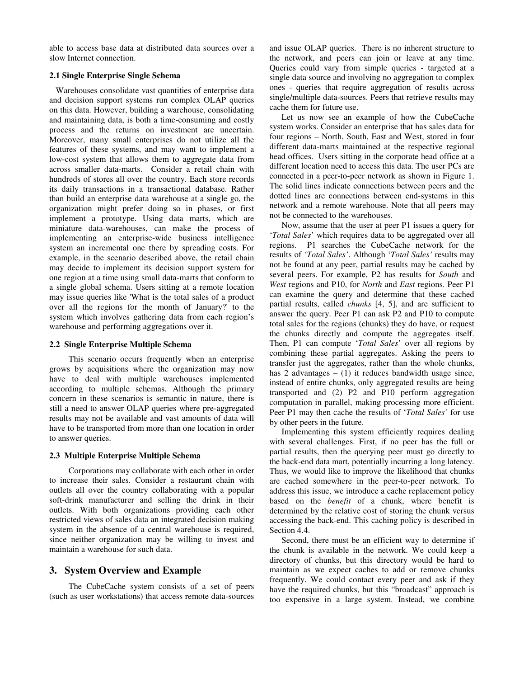able to access base data at distributed data sources over a slow Internet connection.

## **2.1 Single Enterprise Single Schema**

Warehouses consolidate vast quantities of enterprise data and decision support systems run complex OLAP queries on this data. However, building a warehouse, consolidating and maintaining data, is both a time-consuming and costly process and the returns on investment are uncertain. Moreover, many small enterprises do not utilize all the features of these systems, and may want to implement a low-cost system that allows them to aggregate data from across smaller data-marts. Consider a retail chain with hundreds of stores all over the country. Each store records its daily transactions in a transactional database. Rather than build an enterprise data warehouse at a single go, the organization might prefer doing so in phases, or first implement a prototype. Using data marts, which are miniature data-warehouses, can make the process of implementing an enterprise-wide business intelligence system an incremental one there by spreading costs. For example, in the scenario described above, the retail chain may decide to implement its decision support system for one region at a time using small data-marts that conform to a single global schema. Users sitting at a remote location may issue queries like 'What is the total sales of a product over all the regions for the month of January?' to the system which involves gathering data from each region's warehouse and performing aggregations over it.

## **2.2 Single Enterprise Multiple Schema**

This scenario occurs frequently when an enterprise grows by acquisitions where the organization may now have to deal with multiple warehouses implemented according to multiple schemas. Although the primary concern in these scenarios is semantic in nature, there is still a need to answer OLAP queries where pre-aggregated results may not be available and vast amounts of data will have to be transported from more than one location in order to answer queries.

## **2.3 Multiple Enterprise Multiple Schema**

Corporations may collaborate with each other in order to increase their sales. Consider a restaurant chain with outlets all over the country collaborating with a popular soft-drink manufacturer and selling the drink in their outlets. With both organizations providing each other restricted views of sales data an integrated decision making system in the absence of a central warehouse is required, since neither organization may be willing to invest and maintain a warehouse for such data.

# **3. System Overview and Example**

The CubeCache system consists of a set of peers (such as user workstations) that access remote data-sources and issue OLAP queries. There is no inherent structure to the network, and peers can join or leave at any time. Queries could vary from simple queries - targeted at a single data source and involving no aggregation to complex ones - queries that require aggregation of results across single/multiple data-sources. Peers that retrieve results may cache them for future use.

Let us now see an example of how the CubeCache system works. Consider an enterprise that has sales data for four regions – North, South, East and West, stored in four different data-marts maintained at the respective regional head offices. Users sitting in the corporate head office at a different location need to access this data. The user PCs are connected in a peer-to-peer network as shown in Figure 1. The solid lines indicate connections between peers and the dotted lines are connections between end-systems in this network and a remote warehouse. Note that all peers may not be connected to the warehouses.

Now, assume that the user at peer P1 issues a query for '*Total Sales*' which requires data to be aggregated over all regions. P1 searches the CubeCache network for the results of *'Total Sales'*. Although '*Total Sales'* results may not be found at any peer, partial results may be cached by several peers. For example, P2 has results for *South* and *West* regions and P10, for *North* and *East* regions. Peer P1 can examine the query and determine that these cached partial results, called *chunks* [4, 5], and are sufficient to answer the query. Peer P1 can ask P2 and P10 to compute total sales for the regions (chunks) they do have, or request the chunks directly and compute the aggregates itself. Then, P1 can compute '*Total Sales*' over all regions by combining these partial aggregates. Asking the peers to transfer just the aggregates, rather than the whole chunks, has 2 advantages  $- (1)$  it reduces bandwidth usage since, instead of entire chunks, only aggregated results are being transported and (2) P2 and P10 perform aggregation computation in parallel, making processing more efficient. Peer P1 may then cache the results of '*Total Sales'* for use by other peers in the future.

Implementing this system efficiently requires dealing with several challenges. First, if no peer has the full or partial results, then the querying peer must go directly to the back-end data mart, potentially incurring a long latency. Thus, we would like to improve the likelihood that chunks are cached somewhere in the peer-to-peer network. To address this issue, we introduce a cache replacement policy based on the *benefit* of a chunk, where benefit is determined by the relative cost of storing the chunk versus accessing the back-end. This caching policy is described in Section 4.4.

Second, there must be an efficient way to determine if the chunk is available in the network. We could keep a directory of chunks, but this directory would be hard to maintain as we expect caches to add or remove chunks frequently. We could contact every peer and ask if they have the required chunks, but this "broadcast" approach is too expensive in a large system. Instead, we combine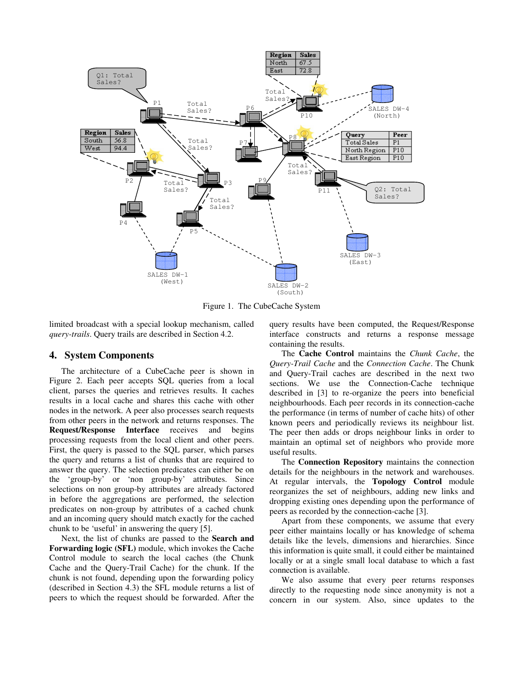

Figure 1. The CubeCache System

limited broadcast with a special lookup mechanism, called *query-trails*. Query trails are described in Section 4.2.

## **4. System Components**

The architecture of a CubeCache peer is shown in Figure 2. Each peer accepts SQL queries from a local client, parses the queries and retrieves results. It caches results in a local cache and shares this cache with other nodes in the network. A peer also processes search requests from other peers in the network and returns responses. The **Request/Response Interface** receives and begins processing requests from the local client and other peers. First, the query is passed to the SQL parser, which parses the query and returns a list of chunks that are required to answer the query. The selection predicates can either be on the 'group-by' or 'non group-by' attributes. Since selections on non group-by attributes are already factored in before the aggregations are performed, the selection predicates on non-group by attributes of a cached chunk and an incoming query should match exactly for the cached chunk to be 'useful' in answering the query [5].

Next, the list of chunks are passed to the **Search and Forwarding logic (SFL)** module, which invokes the Cache Control module to search the local caches (the Chunk Cache and the Query-Trail Cache) for the chunk. If the chunk is not found, depending upon the forwarding policy (described in Section 4.3) the SFL module returns a list of peers to which the request should be forwarded. After the

query results have been computed, the Request/Response interface constructs and returns a response message containing the results.

The **Cache Control** maintains the *Chunk Cache*, the *Query-Trail Cache* and the *Connection Cache*. The Chunk and Query-Trail caches are described in the next two sections. We use the Connection-Cache technique described in [3] to re-organize the peers into beneficial neighbourhoods. Each peer records in its connection-cache the performance (in terms of number of cache hits) of other known peers and periodically reviews its neighbour list. The peer then adds or drops neighbour links in order to maintain an optimal set of neighbors who provide more useful results.

The **Connection Repository** maintains the connection details for the neighbours in the network and warehouses. At regular intervals, the **Topology Control** module reorganizes the set of neighbours, adding new links and dropping existing ones depending upon the performance of peers as recorded by the connection-cache [3].

Apart from these components, we assume that every peer either maintains locally or has knowledge of schema details like the levels, dimensions and hierarchies. Since this information is quite small, it could either be maintained locally or at a single small local database to which a fast connection is available.

We also assume that every peer returns responses directly to the requesting node since anonymity is not a concern in our system. Also, since updates to the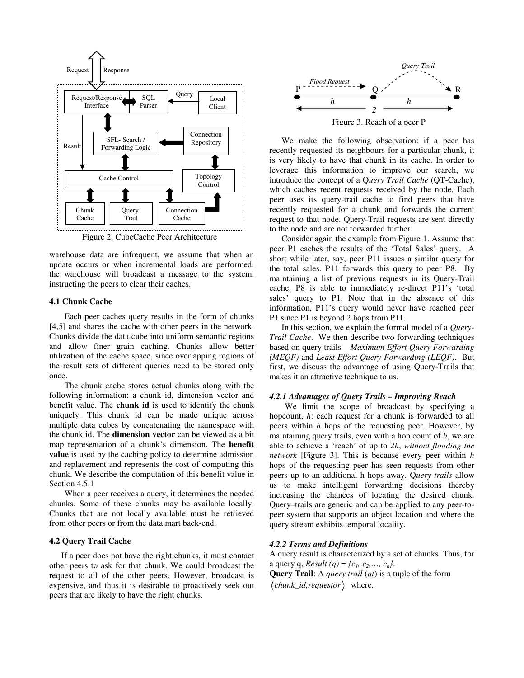

Figure 2. CubeCache Peer Architecture

warehouse data are infrequent, we assume that when an update occurs or when incremental loads are performed, the warehouse will broadcast a message to the system, instructing the peers to clear their caches.

#### **4.1 Chunk Cache**

Each peer caches query results in the form of chunks [4,5] and shares the cache with other peers in the network. Chunks divide the data cube into uniform semantic regions and allow finer grain caching. Chunks allow better utilization of the cache space, since overlapping regions of the result sets of different queries need to be stored only once.

The chunk cache stores actual chunks along with the following information: a chunk id, dimension vector and benefit value. The **chunk id** is used to identify the chunk uniquely. This chunk id can be made unique across multiple data cubes by concatenating the namespace with the chunk id. The **dimension vector** can be viewed as a bit map representation of a chunk's dimension. The **benefit value** is used by the caching policy to determine admission and replacement and represents the cost of computing this chunk. We describe the computation of this benefit value in Section 4.5.1

When a peer receives a query, it determines the needed chunks. Some of these chunks may be available locally. Chunks that are not locally available must be retrieved from other peers or from the data mart back-end.

## **4.2 Query Trail Cache**

If a peer does not have the right chunks, it must contact other peers to ask for that chunk. We could broadcast the request to all of the other peers. However, broadcast is expensive, and thus it is desirable to proactively seek out peers that are likely to have the right chunks.



We make the following observation: if a peer has recently requested its neighbours for a particular chunk, it is very likely to have that chunk in its cache. In order to leverage this information to improve our search, we introduce the concept of a Q*uery Trail Cache* (QT-Cache), which caches recent requests received by the node. Each peer uses its query-trail cache to find peers that have recently requested for a chunk and forwards the current request to that node. Query-Trail requests are sent directly to the node and are not forwarded further.

Consider again the example from Figure 1. Assume that peer P1 caches the results of the 'Total Sales' query. A short while later, say, peer P11 issues a similar query for the total sales. P11 forwards this query to peer P8. By maintaining a list of previous requests in its Query-Trail cache, P8 is able to immediately re-direct P11's 'total sales' query to P1. Note that in the absence of this information, P11's query would never have reached peer P1 since P1 is beyond 2 hops from P11.

In this section, we explain the formal model of a *Query-Trail Cache*. We then describe two forwarding techniques based on query trails – *Maximum Effort Query Forwarding (MEQF)* and *Least Effort Query Forwarding (LEQF)*. But first, we discuss the advantage of using Query-Trails that makes it an attractive technique to us.

#### *4.2.1 Advantages of Query Trails – Improving Reach*

We limit the scope of broadcast by specifying a hopcount, *h*: each request for a chunk is forwarded to all peers within *h* hops of the requesting peer. However, by maintaining query trails, even with a hop count of *h*, we are able to achieve a 'reach' of up to 2*h*, *without flooding the network* [Figure 3]. This is because every peer within *h* hops of the requesting peer has seen requests from other peers up to an additional h hops away. Q*uery-trails* allow us to make intelligent forwarding decisions thereby increasing the chances of locating the desired chunk. Query–trails are generic and can be applied to any peer-topeer system that supports an object location and where the query stream exhibits temporal locality.

#### *4.2.2 Terms and Definitions*

A query result is characterized by a set of chunks. Thus, for a query q, *Result* (*q*) = { $c_1$ ,  $c_2$ ,...,  $c_n$ }.

**Query Trail**: A *query trail* (*qt*) is a tuple of the form  $\langle$ *chunk id,requestor* $\rangle$  where,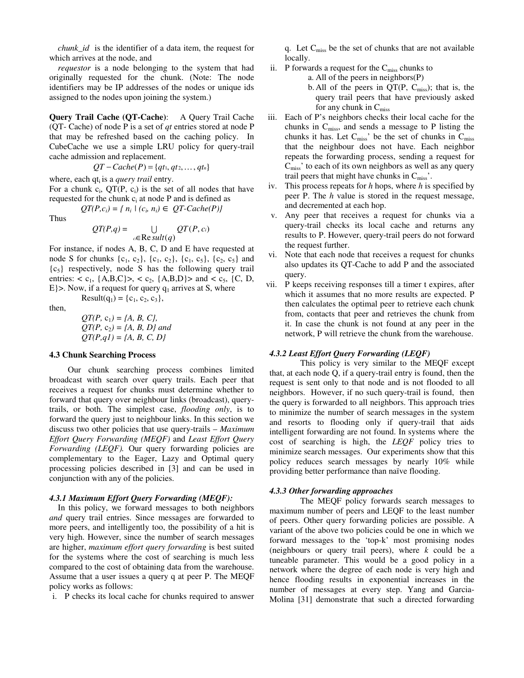*chunk\_id* is the identifier of a data item, the request for which arrives at the node, and

*requestor* is a node belonging to the system that had originally requested for the chunk. (Note: The node identifiers may be IP addresses of the nodes or unique ids assigned to the nodes upon joining the system.)

**Query Trail Cache (QT-Cache)**: A Query Trail Cache (QT- Cache) of node P is a set of *qt* entries stored at node P that may be refreshed based on the caching policy. In CubeCache we use a simple LRU policy for query-trail cache admission and replacement.

 $QT - Cache(P) = \{qt_1, qt_2, ..., dt_n\}$ 

where, each qt<sub>i</sub> is a *query trail* entry. For a chunk  $c_i$ ,  $QT(P, c_i)$  is the set of all nodes that have requested for the chunk  $c_i$  at node P and is defined as

$$
QT(P,c_i) = \{ n_i \mid (c_i, n_i) \in QT\text{-}Cache(P)\}
$$

Thus

$$
QT(P,q) = \bigcup_{c \in \text{Re} \, sult(q)} QT(P,c_i)
$$

For instance, if nodes A, B, C, D and E have requested at node S for chunks  $\{c_1, c_2\}$ ,  $\{c_1, c_2\}$ ,  $\{c_1, c_5\}$ ,  $\{c_2, c_5\}$  and  ${c<sub>5</sub>}$  respectively, node S has the following query trail entries:  $< c_1$ , {A,B,C}>,  $< c_2$ , {A,B,D}> and  $< c_5$ , {C, D, E} $>$ . Now, if a request for query  $q_1$  arrives at S, where

then,

 $QT(P, c_1) = \{A, B, C\}$  $QT(P, c_2) = \{A, B, D\}$  *and*  $QT(P,q1) = \{A, B, C, D\}$ 

Result(q<sub>1</sub>) = {c<sub>1</sub>, c<sub>2</sub>, c<sub>3</sub>},

#### **4.3 Chunk Searching Process**

Our chunk searching process combines limited broadcast with search over query trails. Each peer that receives a request for chunks must determine whether to forward that query over neighbour links (broadcast), querytrails, or both. The simplest case, *flooding only*, is to forward the query just to neighbour links. In this section we discuss two other policies that use query-trails – *Maximum Effort Query Forwarding (MEQF)* and *Least Effort Query Forwarding (LEQF).* Our query forwarding policies are complementary to the Eager, Lazy and Optimal query processing policies described in [3] and can be used in conjunction with any of the policies.

#### *4.3.1 Maximum Effort Query Forwarding (MEQF):*

In this policy, we forward messages to both neighbors *and* query trail entries. Since messages are forwarded to more peers, and intelligently too, the possibility of a hit is very high. However, since the number of search messages are higher, *maximum effort query forwarding* is best suited for the systems where the cost of searching is much less compared to the cost of obtaining data from the warehouse. Assume that a user issues a query q at peer P. The MEQF policy works as follows:

i. P checks its local cache for chunks required to answer

q. Let  $C_{\text{miss}}$  be the set of chunks that are not available locally.

- ii. P forwards a request for the  $C_{\text{miss}}$  chunks to
	- a. All of the peers in neighbors(P)
	- b. All of the peers in  $QT(P, C_{\text{miss}})$ ; that is, the query trail peers that have previously asked for any chunk in  $C_{\text{miss}}$
- iii. Each of P's neighbors checks their local cache for the chunks in  $C_{\text{miss}}$ , and sends a message to P listing the chunks it has. Let  $C_{\text{miss}}'$  be the set of chunks in  $C_{\text{miss}}$ that the neighbour does not have. Each neighbor repeats the forwarding process, sending a request for  $C<sub>miss</sub>$ ' to each of its own neighbors as well as any query trail peers that might have chunks in  $C_{\text{miss}}$ .
- iv. This process repeats for *h* hops, where *h* is specified by peer P. The *h* value is stored in the request message, and decremented at each hop.
- v. Any peer that receives a request for chunks via a query-trail checks its local cache and returns any results to P. However, query-trail peers do not forward the request further.
- vi. Note that each node that receives a request for chunks also updates its QT-Cache to add P and the associated query.
- vii. P keeps receiving responses till a timer t expires, after which it assumes that no more results are expected. P then calculates the optimal peer to retrieve each chunk from, contacts that peer and retrieves the chunk from it. In case the chunk is not found at any peer in the network, P will retrieve the chunk from the warehouse.

## *4.3.2 Least Effort Query Forwarding (LEQF)*

This policy is very similar to the MEQF except that, at each node Q, if a query-trail entry is found, then the request is sent only to that node and is not flooded to all neighbors. However, if no such query-trail is found, then the query is forwarded to all neighbors. This approach tries to minimize the number of search messages in the system and resorts to flooding only if query-trail that aids intelligent forwarding are not found. In systems where the cost of searching is high, the *LEQF* policy tries to minimize search messages. Our experiments show that this policy reduces search messages by nearly 10% while providing better performance than naïve flooding.

#### *4.3.3 Other forwarding approaches*

The MEQF policy forwards search messages to maximum number of peers and LEQF to the least number of peers. Other query forwarding policies are possible. A variant of the above two policies could be one in which we forward messages to the 'top-k' most promising nodes (neighbours or query trail peers), where *k* could be a tuneable parameter. This would be a good policy in a network where the degree of each node is very high and hence flooding results in exponential increases in the number of messages at every step. Yang and Garcia-Molina [31] demonstrate that such a directed forwarding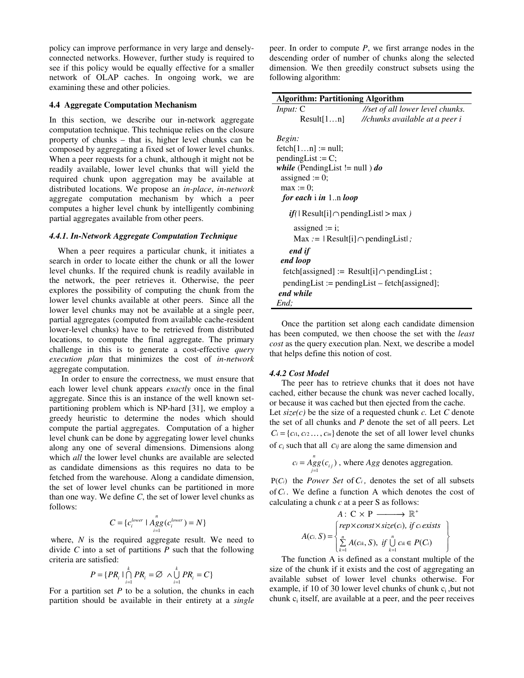policy can improve performance in very large and denselyconnected networks. However, further study is required to see if this policy would be equally effective for a smaller network of OLAP caches. In ongoing work, we are examining these and other policies.

#### **4.4 Aggregate Computation Mechanism**

In this section, we describe our in-network aggregate computation technique. This technique relies on the closure property of chunks – that is, higher level chunks can be composed by aggregating a fixed set of lower level chunks. When a peer requests for a chunk, although it might not be readily available, lower level chunks that will yield the required chunk upon aggregation may be available at distributed locations. We propose an *in-place*, *in-network* aggregate computation mechanism by which a peer computes a higher level chunk by intelligently combining partial aggregates available from other peers.

#### *4.4.1. In-Network Aggregate Computation Technique*

When a peer requires a particular chunk, it initiates a search in order to locate either the chunk or all the lower level chunks. If the required chunk is readily available in the network, the peer retrieves it. Otherwise, the peer explores the possibility of computing the chunk from the lower level chunks available at other peers. Since all the lower level chunks may not be available at a single peer, partial aggregates (computed from available cache-resident lower-level chunks) have to be retrieved from distributed locations, to compute the final aggregate. The primary challenge in this is to generate a cost-effective *query execution plan* that minimizes the cost of *in-network* aggregate computation.

In order to ensure the correctness, we must ensure that each lower level chunk appears *exactly* once in the final aggregate. Since this is an instance of the well known setpartitioning problem which is NP-hard [31], we employ a greedy heuristic to determine the nodes which should compute the partial aggregates. Computation of a higher level chunk can be done by aggregating lower level chunks along any one of several dimensions. Dimensions along which *all* the lower level chunks are available are selected as candidate dimensions as this requires no data to be fetched from the warehouse. Along a candidate dimension, the set of lower level chunks can be partitioned in more than one way. We define *C*, the set of lower level chunks as follows:

$$
C = \{c_i^{lower} \mid \underset{i=1}{\overset{n}{\text{Agg}}}(c_i^{lower}) = N\}
$$

where, *N* is the required aggregate result. We need to divide *C* into a set of partitions *P* such that the following criteria are satisfied:

$$
P = \{PR_i \mid \bigcap_{i=1}^k PR_i = \varnothing \land \bigcup_{i=1}^k PR_i = C\}
$$

For a partition set  $P$  to be a solution, the chunks in each partition should be available in their entirety at a *single* peer. In order to compute *P*, we first arrange nodes in the descending order of number of chunks along the selected dimension. We then greedily construct subsets using the following algorithm:

| <b>Algorithm: Partitioning Algorithm</b>              |            |                                  |
|-------------------------------------------------------|------------|----------------------------------|
| <i>Input:</i> $C$                                     |            | //set of all lower level chunks. |
|                                                       | Result[1n] | //chunks available at a peer i   |
| Begin:                                                |            |                                  |
| $fetch[1n] := null;$                                  |            |                                  |
| $pendingList := C;$                                   |            |                                  |
| <i>while</i> (PendingList != null ) <i>do</i>         |            |                                  |
| assigned $:= 0$ ;                                     |            |                                  |
| $max := 0;$                                           |            |                                  |
| for each $\mathbf{i}$ in $\mathbf{1}$ $\mathbf{loop}$ |            |                                  |
| $if($   Result[i] $\cap$ pending List $>$ max $)$     |            |                                  |
| assigned $:=$ i;                                      |            |                                  |
| $Max :=  Result[i] \cap pendingList $ ;               |            |                                  |
| end if                                                |            |                                  |
| end loop                                              |            |                                  |
| $fetch[assigned] := Result[i] \cap pendingList;$      |            |                                  |
| $pendingList := pendingList - fetch[assigned];$       |            |                                  |
| end while                                             |            |                                  |
| End:                                                  |            |                                  |

Once the partition set along each candidate dimension has been computed, we then choose the set with the *least cost* as the query execution plan. Next, we describe a model that helps define this notion of cost.

## *4.4.2 Cost Model*

The peer has to retrieve chunks that it does not have cached, either because the chunk was never cached locally, or because it was cached but then ejected from the cache. Let *size(c)* be the size of a requested chunk *c.* Let *C* denote the set of all chunks and *P* denote the set of all peers. Let  $C_i = \{c_{i1}, c_{i2}, \ldots, c_{in}\}\$  denote the set of all lower level chunks of *c<sup>i</sup>* such that all *cij* are along the same dimension and

> $\int_{-1}^{n} g g(c_{ij})$  $c_i = Agg(c_{ij})$ , where *Agg* denotes aggregation.

Ρ(*Ci*) the *Power Set* of*C<sup>i</sup> ,* denotes the set of all subsets of  $C_i$ . We define a function A which denotes the cost of calculating a chunk *c* at a peer S as follows:

$$
A: C \times P \longrightarrow \mathbb{R}^+
$$
  

$$
A(c_i, S) = \left\{\n\begin{array}{l}\n rep \times const \times size(c_i), & \text{if } c_i \text{ exists} \\
\sum_{k=1}^n A(c_k, S), & \text{if } \bigcup_{k=1}^n c_k \in P(C_i)\n\end{array}\n\right\}
$$

The function A is defined as a constant multiple of the size of the chunk if it exists and the cost of aggregating an available subset of lower level chunks otherwise. For example, if 10 of 30 lower level chunks of chunk  $c_i$ , but not chunk  $c_i$  itself, are available at a peer, and the peer receives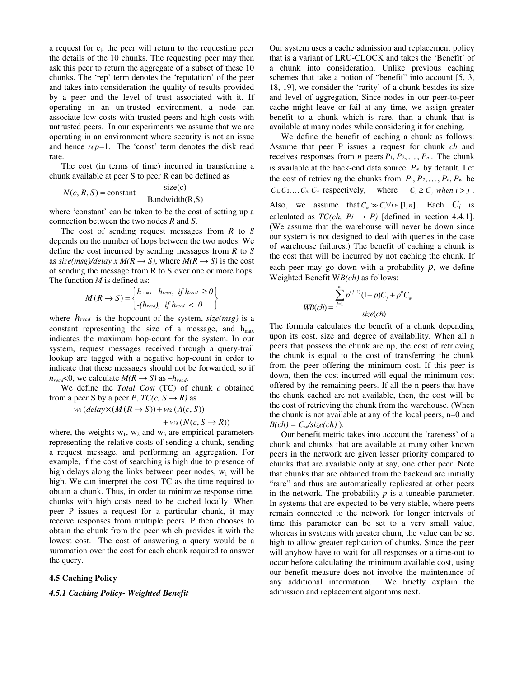a request for c<sub>i</sub>, the peer will return to the requesting peer the details of the 10 chunks. The requesting peer may then ask this peer to return the aggregate of a subset of these 10 chunks. The 'rep' term denotes the 'reputation' of the peer and takes into consideration the quality of results provided by a peer and the level of trust associated with it. If operating in an un-trusted environment, a node can associate low costs with trusted peers and high costs with untrusted peers. In our experiments we assume that we are operating in an environment where security is not an issue and hence *rep*=1. The 'const' term denotes the disk read rate.

The cost (in terms of time) incurred in transferring a chunk available at peer S to peer R can be defined as

$$
N(c, R, S) = \text{constant} + \frac{\text{size}(c)}{\text{Bandwidth}(R, S)}
$$

where 'constant' can be taken to be the cost of setting up a connection between the two nodes *R* and *S*.

The cost of sending request messages from *R* to *S* depends on the number of hops between the two nodes. We define the cost incurred by sending messages from *R* to *S* as  $\frac{size(msg)}{delay \times M(R \rightarrow S)}$ , where  $M(R \rightarrow S)$  is the cost of sending the message from R to S over one or more hops. The function *M* is defined as:

$$
M(R \to S) = \begin{cases} h_{\text{max}} - h_{\text{red}}, & \text{if } h_{\text{red}} \ge 0 \\ -(h_{\text{read}}), & \text{if } h_{\text{read}} < 0 \end{cases}
$$

where *hrecd* is the hopcount of the system, *size(msg)* is a constant representing the size of a message, and  $h_{\text{max}}$ indicates the maximum hop-count for the system. In our system, request messages received through a query-trail lookup are tagged with a negative hop-count in order to indicate that these messages should not be forwarded, so if  $h_{\text{recd}}$ <0, we calculate  $M(R \rightarrow S)$  as  $-h_{\text{recd}}$ .

We define the *Total Cost* (TC) of chunk *c* obtained from a peer *S* by a peer *P*,  $TC(c, S \rightarrow R)$  as

 $w_1$  (*delay*  $\times$   $(M(R \rightarrow S)) + w_2$   $(A(c, S))$ 

$$
+ w_3 (N(c, S \rightarrow R))
$$

where, the weights  $w_1$ ,  $w_2$  and  $w_3$  are empirical parameters representing the relative costs of sending a chunk, sending a request message, and performing an aggregation. For example, if the cost of searching is high due to presence of high delays along the links between peer nodes,  $w_1$  will be high. We can interpret the cost TC as the time required to obtain a chunk. Thus, in order to minimize response time, chunks with high costs need to be cached locally. When peer P issues a request for a particular chunk, it may receive responses from multiple peers. P then chooses to obtain the chunk from the peer which provides it with the lowest cost. The cost of answering a query would be a summation over the cost for each chunk required to answer the query.

#### **4.5 Caching Policy**

## *4.5.1 Caching Policy- Weighted Benefit*

Our system uses a cache admission and replacement policy that is a variant of LRU-CLOCK and takes the 'Benefit' of a chunk into consideration. Unlike previous caching schemes that take a notion of "benefit" into account [5, 3, 18, 19], we consider the 'rarity' of a chunk besides its size and level of aggregation, Since nodes in our peer-to-peer cache might leave or fail at any time, we assign greater benefit to a chunk which is rare, than a chunk that is available at many nodes while considering it for caching.

We define the benefit of caching a chunk as follows: Assume that peer P issues a request for chunk *ch* and receives responses from *n* peers  $P_1, P_2, \ldots, P_n$ . The chunk is available at the back-end data source  $P_w$  by default. Let the cost of retrieving the chunks from  $P_1, P_2, \ldots, P_n, P_w$  be  $C_1, C_2, \ldots, C_n, C_w$  respectively, where  $C_i \geq C_i$  when  $i > j$ . Also, we assume that  $C_w \gg C_i \forall i \in [1, n]$ . Each  $C_i$  is calculated as  $TC(ch, Pi \rightarrow P)$  [defined in section 4.4.1]. (We assume that the warehouse will never be down since our system is not designed to deal with queries in the case of warehouse failures.) The benefit of caching a chunk is the cost that will be incurred by not caching the chunk. If each peer may go down with a probability  $p$ , we define Weighted Benefit W*B(ch)* as follows:

$$
WB(ch) = \frac{\sum_{j=1}^{n} p^{(j-1)} (1-p)C_j + p^n C_w}{size(ch)}
$$

The formula calculates the benefit of a chunk depending upon its cost, size and degree of availability. When all n peers that possess the chunk are up, the cost of retrieving the chunk is equal to the cost of transferring the chunk from the peer offering the minimum cost. If this peer is down, then the cost incurred will equal the minimum cost offered by the remaining peers. If all the n peers that have the chunk cached are not available, then, the cost will be the cost of retrieving the chunk from the warehouse. (When the chunk is not available at any of the local peers, n=0 and  $B(ch) = C_w / size(ch)$ .

Our benefit metric takes into account the 'rareness' of a chunk and chunks that are available at many other known peers in the network are given lesser priority compared to chunks that are available only at say, one other peer. Note that chunks that are obtained from the backend are initially "rare" and thus are automatically replicated at other peers in the network. The probability  $p$  is a tuneable parameter. In systems that are expected to be very stable, where peers remain connected to the network for longer intervals of time this parameter can be set to a very small value, whereas in systems with greater churn, the value can be set high to allow greater replication of chunks. Since the peer will anyhow have to wait for all responses or a time-out to occur before calculating the minimum available cost, using our benefit measure does not involve the maintenance of any additional information. We briefly explain the admission and replacement algorithms next.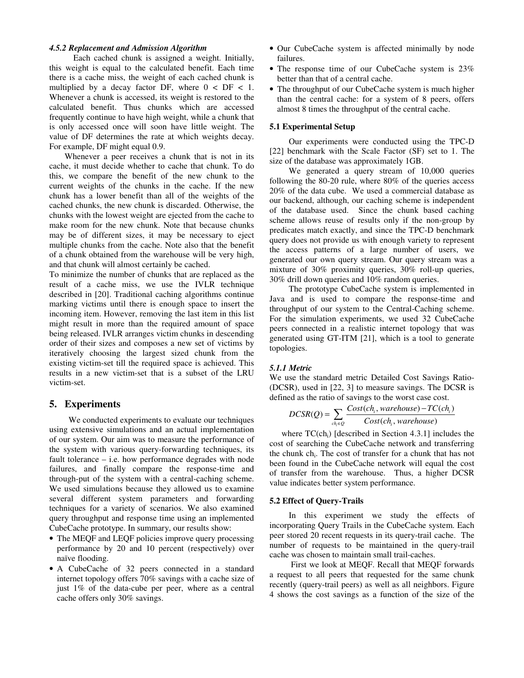#### *4.5.2 Replacement and Admission Algorithm*

Each cached chunk is assigned a weight. Initially, this weight is equal to the calculated benefit. Each time there is a cache miss, the weight of each cached chunk is multiplied by a decay factor DF, where  $0 <$  DF  $< 1$ . Whenever a chunk is accessed, its weight is restored to the calculated benefit. Thus chunks which are accessed frequently continue to have high weight, while a chunk that is only accessed once will soon have little weight. The value of DF determines the rate at which weights decay. For example, DF might equal 0.9.

Whenever a peer receives a chunk that is not in its cache, it must decide whether to cache that chunk. To do this, we compare the benefit of the new chunk to the current weights of the chunks in the cache. If the new chunk has a lower benefit than all of the weights of the cached chunks, the new chunk is discarded. Otherwise, the chunks with the lowest weight are ejected from the cache to make room for the new chunk. Note that because chunks may be of different sizes, it may be necessary to eject multiple chunks from the cache. Note also that the benefit of a chunk obtained from the warehouse will be very high, and that chunk will almost certainly be cached.

To minimize the number of chunks that are replaced as the result of a cache miss, we use the IVLR technique described in [20]. Traditional caching algorithms continue marking victims until there is enough space to insert the incoming item. However, removing the last item in this list might result in more than the required amount of space being released. IVLR arranges victim chunks in descending order of their sizes and composes a new set of victims by iteratively choosing the largest sized chunk from the existing victim-set till the required space is achieved. This results in a new victim-set that is a subset of the LRU victim-set.

## **5. Experiments**

We conducted experiments to evaluate our techniques using extensive simulations and an actual implementation of our system. Our aim was to measure the performance of the system with various query-forwarding techniques, its fault tolerance – i.e. how performance degrades with node failures, and finally compare the response-time and through-put of the system with a central-caching scheme. We used simulations because they allowed us to examine several different system parameters and forwarding techniques for a variety of scenarios. We also examined query throughput and response time using an implemented CubeCache prototype. In summary, our results show:

- The MEQF and LEQF policies improve query processing performance by 20 and 10 percent (respectively) over naïve flooding.
- A CubeCache of 32 peers connected in a standard internet topology offers 70% savings with a cache size of just 1% of the data-cube per peer, where as a central cache offers only 30% savings.
- Our CubeCache system is affected minimally by node failures.
- The response time of our CubeCache system is 23% better than that of a central cache.
- The throughput of our CubeCache system is much higher than the central cache: for a system of 8 peers, offers almost 8 times the throughput of the central cache.

#### **5.1 Experimental Setup**

Our experiments were conducted using the TPC-D [22] benchmark with the Scale Factor (SF) set to 1. The size of the database was approximately 1GB.

We generated a query stream of 10,000 queries following the 80-20 rule, where 80% of the queries access 20% of the data cube. We used a commercial database as our backend, although, our caching scheme is independent of the database used. Since the chunk based caching scheme allows reuse of results only if the non-group by predicates match exactly, and since the TPC-D benchmark query does not provide us with enough variety to represent the access patterns of a large number of users, we generated our own query stream. Our query stream was a mixture of 30% proximity queries, 30% roll-up queries, 30% drill down queries and 10% random queries.

The prototype CubeCache system is implemented in Java and is used to compare the response-time and throughput of our system to the Central-Caching scheme. For the simulation experiments, we used 32 CubeCache peers connected in a realistic internet topology that was generated using GT-ITM [21], which is a tool to generate topologies.

#### *5.1.1 Metric*

We use the standard metric Detailed Cost Savings Ratio- (DCSR), used in [22, 3] to measure savings. The DCSR is defined as the ratio of savings to the worst case cost.

$$
DCSR(Q) = \sum_{ch_i \in Q} \frac{Cost(ch_i, warehouse) - TC(ch_i)}{Cost(ch_i, warehouse)}
$$

where  $TC(ch<sub>i</sub>)$  [described in Section 4.3.1] includes the cost of searching the CubeCache network and transferring the chunk ch<sub>i</sub>. The cost of transfer for a chunk that has not been found in the CubeCache network will equal the cost of transfer from the warehouse. Thus, a higher DCSR value indicates better system performance.

#### **5.2 Effect of Query-Trails**

In this experiment we study the effects of incorporating Query Trails in the CubeCache system. Each peer stored 20 recent requests in its query-trail cache. The number of requests to be maintained in the query-trail cache was chosen to maintain small trail-caches.

First we look at MEQF. Recall that MEQF forwards a request to all peers that requested for the same chunk recently (query-trail peers) as well as all neighbors. Figure 4 shows the cost savings as a function of the size of the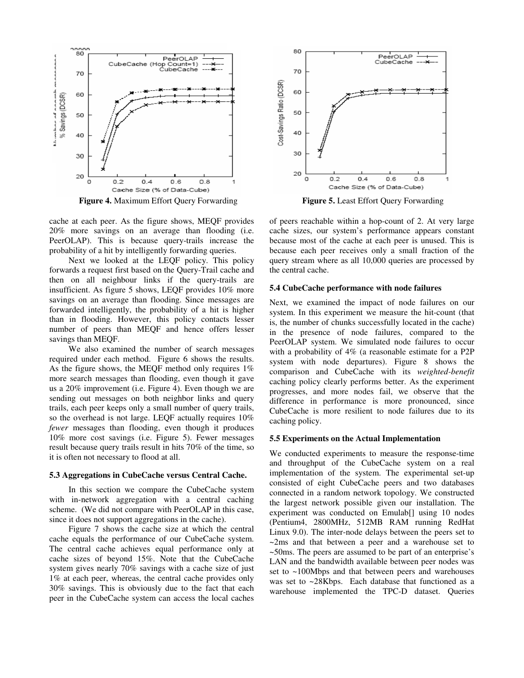

**Figure 4.** Maximum Effort Query Forwarding **Figure 5.** Least Effort Query Forwarding

cache at each peer. As the figure shows, MEQF provides 20% more savings on an average than flooding (i.e. PeerOLAP). This is because query-trails increase the probability of a hit by intelligently forwarding queries.

Next we looked at the LEQF policy. This policy forwards a request first based on the Query-Trail cache and then on all neighbour links if the query-trails are insufficient. As figure 5 shows, LEQF provides 10% more savings on an average than flooding. Since messages are forwarded intelligently, the probability of a hit is higher than in flooding. However, this policy contacts lesser number of peers than MEQF and hence offers lesser savings than MEQF.

We also examined the number of search messages required under each method. Figure 6 shows the results. As the figure shows, the MEQF method only requires 1% more search messages than flooding, even though it gave us a 20% improvement (i.e. Figure 4). Even though we are sending out messages on both neighbor links and query trails, each peer keeps only a small number of query trails, so the overhead is not large. LEQF actually requires 10% *fewer* messages than flooding, even though it produces 10% more cost savings (i.e. Figure 5). Fewer messages result because query trails result in hits 70% of the time, so it is often not necessary to flood at all.

#### **5.3 Aggregations in CubeCache versus Central Cache.**

In this section we compare the CubeCache system with in-network aggregation with a central caching scheme. (We did not compare with PeerOLAP in this case, since it does not support aggregations in the cache).

Figure 7 shows the cache size at which the central cache equals the performance of our CubeCache system. The central cache achieves equal performance only at cache sizes of beyond 15%. Note that the CubeCache system gives nearly 70% savings with a cache size of just 1% at each peer, whereas, the central cache provides only 30% savings. This is obviously due to the fact that each peer in the CubeCache system can access the local caches



of peers reachable within a hop-count of 2. At very large cache sizes, our system's performance appears constant because most of the cache at each peer is unused. This is because each peer receives only a small fraction of the query stream where as all 10,000 queries are processed by the central cache.

#### **5.4 CubeCache performance with node failures**

Next, we examined the impact of node failures on our system. In this experiment we measure the hit-count (that is, the number of chunks successfully located in the cache) in the presence of node failures, compared to the PeerOLAP system. We simulated node failures to occur with a probability of 4% (a reasonable estimate for a P2P system with node departures). Figure 8 shows the comparison and CubeCache with its *weighted-benefit* caching policy clearly performs better. As the experiment progresses, and more nodes fail, we observe that the difference in performance is more pronounced, since CubeCache is more resilient to node failures due to its caching policy.

#### **5.5 Experiments on the Actual Implementation**

We conducted experiments to measure the response-time and throughput of the CubeCache system on a real implementation of the system. The experimental set-up consisted of eight CubeCache peers and two databases connected in a random network topology. We constructed the largest network possible given our installation. The experiment was conducted on Emulab[] using 10 nodes (Pentium4, 2800MHz, 512MB RAM running RedHat Linux 9.0). The inter-node delays between the peers set to ~2ms and that between a peer and a warehouse set to ~50ms. The peers are assumed to be part of an enterprise's LAN and the bandwidth available between peer nodes was set to ~100Mbps and that between peers and warehouses was set to ~28Kbps. Each database that functioned as a warehouse implemented the TPC-D dataset. Queries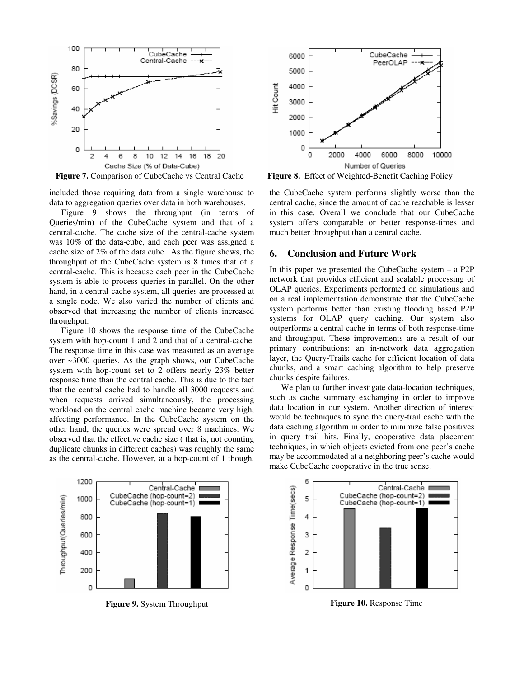

**Figure 7.** Comparison of CubeCache vs Central Cache **Figure 8.** Effect of Weighted-Benefit Caching Policy

included those requiring data from a single warehouse to data to aggregation queries over data in both warehouses.

Figure 9 shows the throughput (in terms of Queries/min) of the CubeCache system and that of a central-cache. The cache size of the central-cache system was 10% of the data-cube, and each peer was assigned a cache size of 2% of the data cube. As the figure shows, the throughput of the CubeCache system is 8 times that of a central-cache. This is because each peer in the CubeCache system is able to process queries in parallel. On the other hand, in a central-cache system, all queries are processed at a single node. We also varied the number of clients and observed that increasing the number of clients increased throughput.

Figure 10 shows the response time of the CubeCache system with hop-count 1 and 2 and that of a central-cache. The response time in this case was measured as an average over ~3000 queries. As the graph shows, our CubeCache system with hop-count set to 2 offers nearly 23% better response time than the central cache. This is due to the fact that the central cache had to handle all 3000 requests and when requests arrived simultaneously, the processing workload on the central cache machine became very high, affecting performance. In the CubeCache system on the other hand, the queries were spread over 8 machines. We observed that the effective cache size ( that is, not counting duplicate chunks in different caches) was roughly the same as the central-cache. However, at a hop-count of 1 though,



the CubeCache system performs slightly worse than the central cache, since the amount of cache reachable is lesser in this case. Overall we conclude that our CubeCache system offers comparable or better response-times and much better throughput than a central cache.

# **6. Conclusion and Future Work**

In this paper we presented the CubeCache system – a P2P network that provides efficient and scalable processing of OLAP queries. Experiments performed on simulations and on a real implementation demonstrate that the CubeCache system performs better than existing flooding based P2P systems for OLAP query caching. Our system also outperforms a central cache in terms of both response-time and throughput. These improvements are a result of our primary contributions: an in-network data aggregation layer, the Query-Trails cache for efficient location of data chunks, and a smart caching algorithm to help preserve chunks despite failures.

We plan to further investigate data-location techniques, such as cache summary exchanging in order to improve data location in our system. Another direction of interest would be techniques to sync the query-trail cache with the data caching algorithm in order to minimize false positives in query trail hits. Finally, cooperative data placement techniques, in which objects evicted from one peer's cache may be accommodated at a neighboring peer's cache would make CubeCache cooperative in the true sense.



**Figure 9.** System Throughput **Figure 10.** Response Time